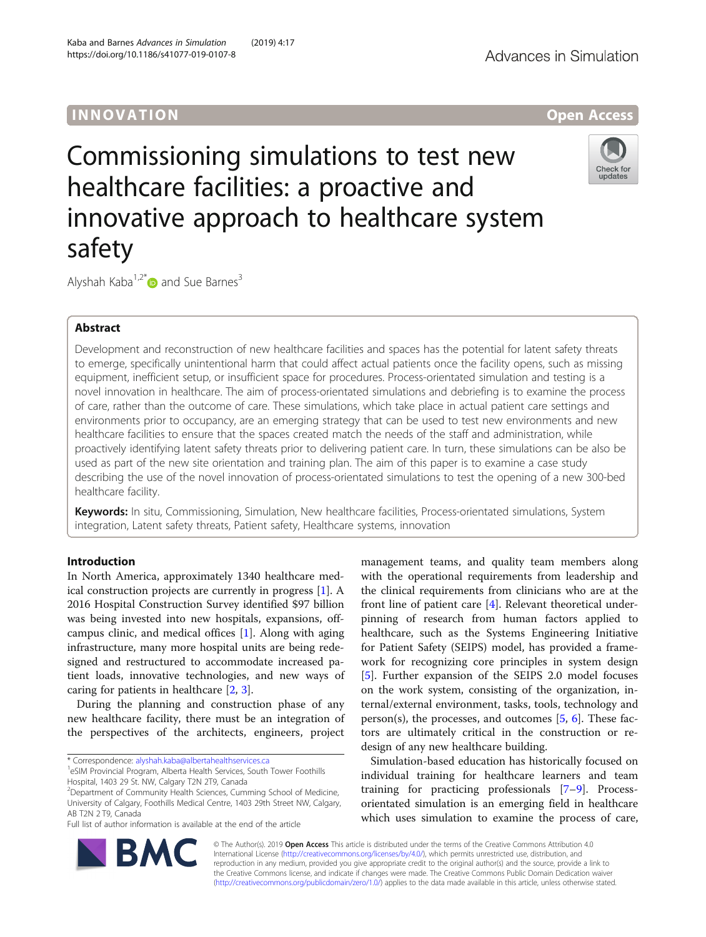# INNOVA TION Open Access

# Commissioning simulations to test new healthcare facilities: a proactive and innovative approach to healthcare system safety

Alyshah Kaba<sup>1,2[\\*](http://orcid.org/0000-0002-0966-9478)</sup> and Sue Barnes<sup>3</sup>

# Abstract

Development and reconstruction of new healthcare facilities and spaces has the potential for latent safety threats to emerge, specifically unintentional harm that could affect actual patients once the facility opens, such as missing equipment, inefficient setup, or insufficient space for procedures. Process-orientated simulation and testing is a novel innovation in healthcare. The aim of process-orientated simulations and debriefing is to examine the process of care, rather than the outcome of care. These simulations, which take place in actual patient care settings and environments prior to occupancy, are an emerging strategy that can be used to test new environments and new healthcare facilities to ensure that the spaces created match the needs of the staff and administration, while proactively identifying latent safety threats prior to delivering patient care. In turn, these simulations can be also be used as part of the new site orientation and training plan. The aim of this paper is to examine a case study describing the use of the novel innovation of process-orientated simulations to test the opening of a new 300-bed healthcare facility.

Keywords: In situ, Commissioning, Simulation, New healthcare facilities, Process-orientated simulations, System integration, Latent safety threats, Patient safety, Healthcare systems, innovation

# Introduction

In North America, approximately 1340 healthcare medical construction projects are currently in progress [\[1](#page-7-0)]. A 2016 Hospital Construction Survey identified \$97 billion was being invested into new hospitals, expansions, offcampus clinic, and medical offices [\[1](#page-7-0)]. Along with aging infrastructure, many more hospital units are being redesigned and restructured to accommodate increased patient loads, innovative technologies, and new ways of caring for patients in healthcare [[2,](#page-7-0) [3\]](#page-7-0).

During the planning and construction phase of any new healthcare facility, there must be an integration of the perspectives of the architects, engineers, project

\* Correspondence: [alyshah.kaba@albertahealthservices.ca](mailto:alyshah.kaba@albertahealthservices.ca) <sup>1</sup>

BA

<sup>1</sup>eSIM Provincial Program, Alberta Health Services, South Tower Foothills Hospital, 1403 29 St. NW, Calgary T2N 2T9, Canada

management teams, and quality team members along with the operational requirements from leadership and the clinical requirements from clinicians who are at the front line of patient care [[4\]](#page-7-0). Relevant theoretical underpinning of research from human factors applied to healthcare, such as the Systems Engineering Initiative for Patient Safety (SEIPS) model, has provided a framework for recognizing core principles in system design [[5\]](#page-7-0). Further expansion of the SEIPS 2.0 model focuses on the work system, consisting of the organization, internal/external environment, tasks, tools, technology and person(s), the processes, and outcomes  $[5, 6]$  $[5, 6]$  $[5, 6]$  $[5, 6]$ . These factors are ultimately critical in the construction or redesign of any new healthcare building.

Simulation-based education has historically focused on individual training for healthcare learners and team training for practicing professionals [\[7](#page-7-0)–[9](#page-7-0)]. Processorientated simulation is an emerging field in healthcare which uses simulation to examine the process of care,

© The Author(s). 2019 Open Access This article is distributed under the terms of the Creative Commons Attribution 4.0 International License [\(http://creativecommons.org/licenses/by/4.0/](http://creativecommons.org/licenses/by/4.0/)), which permits unrestricted use, distribution, and reproduction in any medium, provided you give appropriate credit to the original author(s) and the source, provide a link to the Creative Commons license, and indicate if changes were made. The Creative Commons Public Domain Dedication waiver [\(http://creativecommons.org/publicdomain/zero/1.0/](http://creativecommons.org/publicdomain/zero/1.0/)) applies to the data made available in this article, unless otherwise stated.





<sup>&</sup>lt;sup>2</sup>Department of Community Health Sciences, Cumming School of Medicine, University of Calgary, Foothills Medical Centre, 1403 29th Street NW, Calgary, AB T2N 2 T9, Canada

Full list of author information is available at the end of the article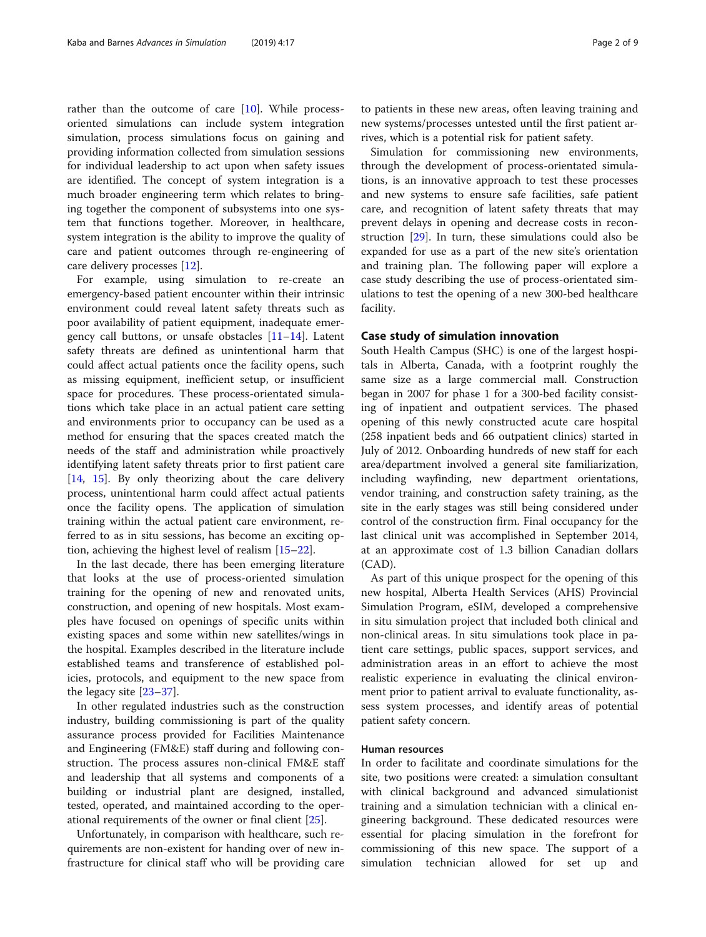rather than the outcome of care [[10](#page-7-0)]. While processoriented simulations can include system integration simulation, process simulations focus on gaining and providing information collected from simulation sessions for individual leadership to act upon when safety issues are identified. The concept of system integration is a much broader engineering term which relates to bringing together the component of subsystems into one system that functions together. Moreover, in healthcare, system integration is the ability to improve the quality of care and patient outcomes through re-engineering of care delivery processes [[12\]](#page-7-0).

For example, using simulation to re-create an emergency-based patient encounter within their intrinsic environment could reveal latent safety threats such as poor availability of patient equipment, inadequate emergency call buttons, or unsafe obstacles  $[11-14]$  $[11-14]$  $[11-14]$  $[11-14]$  $[11-14]$ . Latent safety threats are defined as unintentional harm that could affect actual patients once the facility opens, such as missing equipment, inefficient setup, or insufficient space for procedures. These process-orientated simulations which take place in an actual patient care setting and environments prior to occupancy can be used as a method for ensuring that the spaces created match the needs of the staff and administration while proactively identifying latent safety threats prior to first patient care [[14,](#page-7-0) [15\]](#page-7-0). By only theorizing about the care delivery process, unintentional harm could affect actual patients once the facility opens. The application of simulation training within the actual patient care environment, referred to as in situ sessions, has become an exciting option, achieving the highest level of realism [\[15](#page-7-0)–[22\]](#page-7-0).

In the last decade, there has been emerging literature that looks at the use of process-oriented simulation training for the opening of new and renovated units, construction, and opening of new hospitals. Most examples have focused on openings of specific units within existing spaces and some within new satellites/wings in the hospital. Examples described in the literature include established teams and transference of established policies, protocols, and equipment to the new space from the legacy site [\[23](#page-7-0)–[37\]](#page-7-0).

In other regulated industries such as the construction industry, building commissioning is part of the quality assurance process provided for Facilities Maintenance and Engineering (FM&E) staff during and following construction. The process assures non-clinical FM&E staff and leadership that all systems and components of a building or industrial plant are designed, installed, tested, operated, and maintained according to the operational requirements of the owner or final client [[25\]](#page-7-0).

Unfortunately, in comparison with healthcare, such requirements are non-existent for handing over of new infrastructure for clinical staff who will be providing care

to patients in these new areas, often leaving training and new systems/processes untested until the first patient arrives, which is a potential risk for patient safety.

Simulation for commissioning new environments, through the development of process-orientated simulations, is an innovative approach to test these processes and new systems to ensure safe facilities, safe patient care, and recognition of latent safety threats that may prevent delays in opening and decrease costs in reconstruction [[29\]](#page-7-0). In turn, these simulations could also be expanded for use as a part of the new site's orientation and training plan. The following paper will explore a case study describing the use of process-orientated simulations to test the opening of a new 300-bed healthcare facility.

#### Case study of simulation innovation

South Health Campus (SHC) is one of the largest hospitals in Alberta, Canada, with a footprint roughly the same size as a large commercial mall. Construction began in 2007 for phase 1 for a 300-bed facility consisting of inpatient and outpatient services. The phased opening of this newly constructed acute care hospital (258 inpatient beds and 66 outpatient clinics) started in July of 2012. Onboarding hundreds of new staff for each area/department involved a general site familiarization, including wayfinding, new department orientations, vendor training, and construction safety training, as the site in the early stages was still being considered under control of the construction firm. Final occupancy for the last clinical unit was accomplished in September 2014, at an approximate cost of 1.3 billion Canadian dollars (CAD).

As part of this unique prospect for the opening of this new hospital, Alberta Health Services (AHS) Provincial Simulation Program, eSIM, developed a comprehensive in situ simulation project that included both clinical and non-clinical areas. In situ simulations took place in patient care settings, public spaces, support services, and administration areas in an effort to achieve the most realistic experience in evaluating the clinical environment prior to patient arrival to evaluate functionality, assess system processes, and identify areas of potential patient safety concern.

# Human resources

In order to facilitate and coordinate simulations for the site, two positions were created: a simulation consultant with clinical background and advanced simulationist training and a simulation technician with a clinical engineering background. These dedicated resources were essential for placing simulation in the forefront for commissioning of this new space. The support of a simulation technician allowed for set up and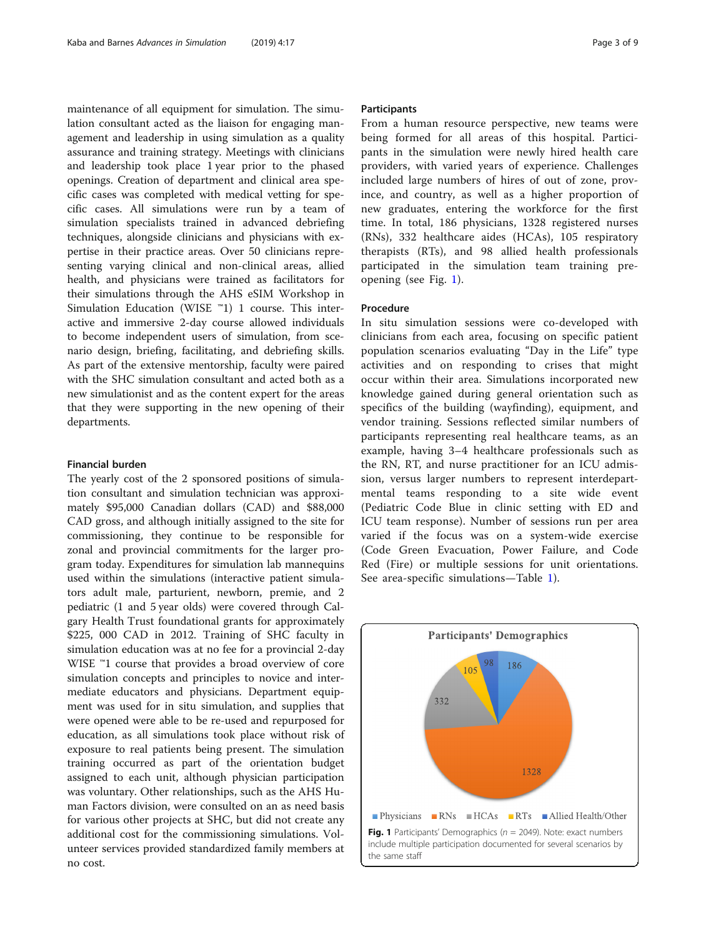maintenance of all equipment for simulation. The simulation consultant acted as the liaison for engaging management and leadership in using simulation as a quality assurance and training strategy. Meetings with clinicians and leadership took place 1 year prior to the phased openings. Creation of department and clinical area specific cases was completed with medical vetting for specific cases. All simulations were run by a team of simulation specialists trained in advanced debriefing techniques, alongside clinicians and physicians with expertise in their practice areas. Over 50 clinicians representing varying clinical and non-clinical areas, allied health, and physicians were trained as facilitators for their simulations through the AHS eSIM Workshop in Simulation Education (WISE ™1) 1 course. This interactive and immersive 2-day course allowed individuals to become independent users of simulation, from scenario design, briefing, facilitating, and debriefing skills. As part of the extensive mentorship, faculty were paired with the SHC simulation consultant and acted both as a new simulationist and as the content expert for the areas that they were supporting in the new opening of their departments.

#### Financial burden

The yearly cost of the 2 sponsored positions of simulation consultant and simulation technician was approximately \$95,000 Canadian dollars (CAD) and \$88,000 CAD gross, and although initially assigned to the site for commissioning, they continue to be responsible for zonal and provincial commitments for the larger program today. Expenditures for simulation lab mannequins used within the simulations (interactive patient simulators adult male, parturient, newborn, premie, and 2 pediatric (1 and 5 year olds) were covered through Calgary Health Trust foundational grants for approximately \$225, 000 CAD in 2012. Training of SHC faculty in simulation education was at no fee for a provincial 2-day WISE ™1 course that provides a broad overview of core simulation concepts and principles to novice and intermediate educators and physicians. Department equipment was used for in situ simulation, and supplies that were opened were able to be re-used and repurposed for education, as all simulations took place without risk of exposure to real patients being present. The simulation training occurred as part of the orientation budget assigned to each unit, although physician participation was voluntary. Other relationships, such as the AHS Human Factors division, were consulted on an as need basis for various other projects at SHC, but did not create any additional cost for the commissioning simulations. Volunteer services provided standardized family members at no cost.

#### Participants

From a human resource perspective, new teams were being formed for all areas of this hospital. Participants in the simulation were newly hired health care providers, with varied years of experience. Challenges included large numbers of hires of out of zone, province, and country, as well as a higher proportion of new graduates, entering the workforce for the first time. In total, 186 physicians, 1328 registered nurses (RNs), 332 healthcare aides (HCAs), 105 respiratory therapists (RTs), and 98 allied health professionals participated in the simulation team training preopening (see Fig. 1).

# Procedure

In situ simulation sessions were co-developed with clinicians from each area, focusing on specific patient population scenarios evaluating "Day in the Life" type activities and on responding to crises that might occur within their area. Simulations incorporated new knowledge gained during general orientation such as specifics of the building (wayfinding), equipment, and vendor training. Sessions reflected similar numbers of participants representing real healthcare teams, as an example, having 3–4 healthcare professionals such as the RN, RT, and nurse practitioner for an ICU admission, versus larger numbers to represent interdepartmental teams responding to a site wide event (Pediatric Code Blue in clinic setting with ED and ICU team response). Number of sessions run per area varied if the focus was on a system-wide exercise (Code Green Evacuation, Power Failure, and Code Red (Fire) or multiple sessions for unit orientations. See area-specific simulations—Table [1\)](#page-3-0).

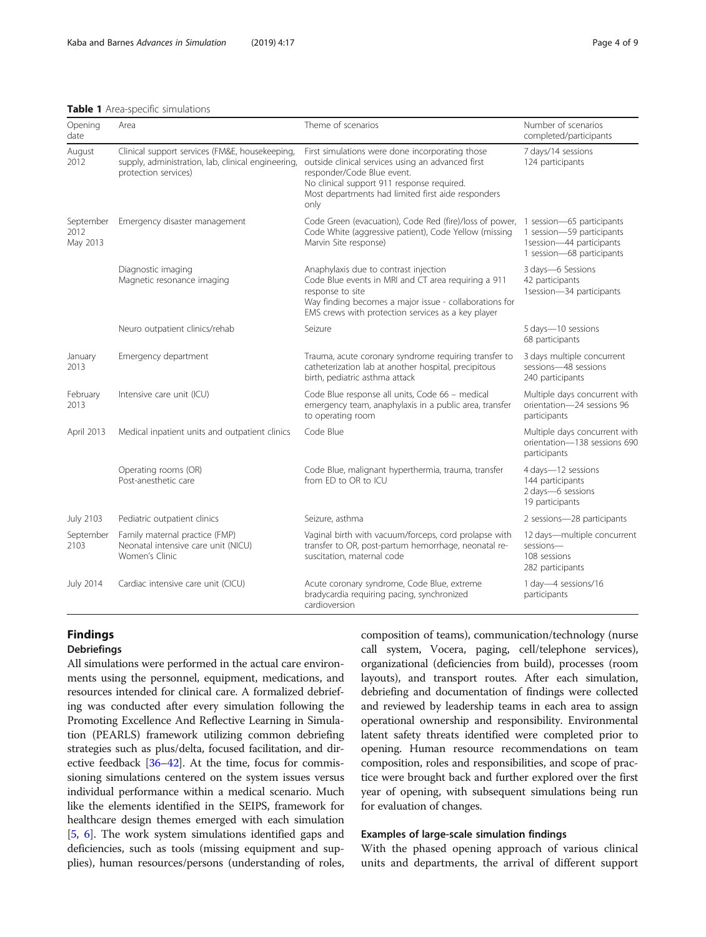<span id="page-3-0"></span>

|  |  | Table 1 Area-specific simulations |  |
|--|--|-----------------------------------|--|
|--|--|-----------------------------------|--|

| Opening<br>date               | Area                                                                                                                         | Theme of scenarios                                                                                                                                                                                                                             | Number of scenarios<br>completed/participants                                                                   |
|-------------------------------|------------------------------------------------------------------------------------------------------------------------------|------------------------------------------------------------------------------------------------------------------------------------------------------------------------------------------------------------------------------------------------|-----------------------------------------------------------------------------------------------------------------|
| August<br>2012                | Clinical support services (FM&E, housekeeping,<br>supply, administration, lab, clinical engineering,<br>protection services) | First simulations were done incorporating those<br>outside clinical services using an advanced first<br>responder/Code Blue event.<br>No clinical support 911 response required.<br>Most departments had limited first aide responders<br>only | 7 days/14 sessions<br>124 participants                                                                          |
| September<br>2012<br>May 2013 | Emergency disaster management                                                                                                | Code Green (evacuation), Code Red (fire)/loss of power,<br>Code White (aggressive patient), Code Yellow (missing<br>Marvin Site response)                                                                                                      | 1 session-65 participants<br>1 session-59 participants<br>1session-44 participants<br>1 session-68 participants |
|                               | Diagnostic imaging<br>Magnetic resonance imaging                                                                             | Anaphylaxis due to contrast injection<br>Code Blue events in MRI and CT area requiring a 911<br>response to site<br>Way finding becomes a major issue - collaborations for<br>EMS crews with protection services as a key player               | 3 days-6 Sessions<br>42 participants<br>1session-34 participants                                                |
|                               | Neuro outpatient clinics/rehab                                                                                               | Seizure                                                                                                                                                                                                                                        | 5 days-10 sessions<br>68 participants                                                                           |
| January<br>2013               | Emergency department                                                                                                         | Trauma, acute coronary syndrome requiring transfer to<br>catheterization lab at another hospital, precipitous<br>birth, pediatric asthma attack                                                                                                | 3 days multiple concurrent<br>sessions-48 sessions<br>240 participants                                          |
| February<br>2013              | Intensive care unit (ICU)                                                                                                    | Code Blue response all units, Code 66 - medical<br>emergency team, anaphylaxis in a public area, transfer<br>to operating room                                                                                                                 | Multiple days concurrent with<br>orientation-24 sessions 96<br>participants                                     |
| April 2013                    | Medical inpatient units and outpatient clinics                                                                               | Code Blue                                                                                                                                                                                                                                      | Multiple days concurrent with<br>orientation-138 sessions 690<br>participants                                   |
|                               | Operating rooms (OR)<br>Post-anesthetic care                                                                                 | Code Blue, malignant hyperthermia, trauma, transfer<br>from ED to OR to ICU                                                                                                                                                                    | 4 days-12 sessions<br>144 participants<br>2 days-6 sessions<br>19 participants                                  |
| <b>July 2103</b>              | Pediatric outpatient clinics                                                                                                 | Seizure, asthma                                                                                                                                                                                                                                | 2 sessions-28 participants                                                                                      |
| September<br>2103             | Family maternal practice (FMP)<br>Neonatal intensive care unit (NICU)<br>Women's Clinic                                      | Vaginal birth with vacuum/forceps, cord prolapse with<br>transfer to OR, post-partum hemorrhage, neonatal re-<br>suscitation, maternal code                                                                                                    | 12 days-multiple concurrent<br>sessions-<br>108 sessions<br>282 participants                                    |
| <b>July 2014</b>              | Cardiac intensive care unit (CICU)                                                                                           | Acute coronary syndrome, Code Blue, extreme<br>bradycardia requiring pacing, synchronized<br>cardioversion                                                                                                                                     | 1 day-4 sessions/16<br>participants                                                                             |

# Findings

## **Debriefings**

All simulations were performed in the actual care environments using the personnel, equipment, medications, and resources intended for clinical care. A formalized debriefing was conducted after every simulation following the Promoting Excellence And Reflective Learning in Simulation (PEARLS) framework utilizing common debriefing strategies such as plus/delta, focused facilitation, and directive feedback [[36](#page-7-0)–[42\]](#page-8-0). At the time, focus for commissioning simulations centered on the system issues versus individual performance within a medical scenario. Much like the elements identified in the SEIPS, framework for healthcare design themes emerged with each simulation [[5,](#page-7-0) [6\]](#page-7-0). The work system simulations identified gaps and deficiencies, such as tools (missing equipment and supplies), human resources/persons (understanding of roles, composition of teams), communication/technology (nurse call system, Vocera, paging, cell/telephone services), organizational (deficiencies from build), processes (room layouts), and transport routes. After each simulation, debriefing and documentation of findings were collected and reviewed by leadership teams in each area to assign operational ownership and responsibility. Environmental latent safety threats identified were completed prior to opening. Human resource recommendations on team composition, roles and responsibilities, and scope of practice were brought back and further explored over the first year of opening, with subsequent simulations being run for evaluation of changes.

# Examples of large-scale simulation findings

With the phased opening approach of various clinical units and departments, the arrival of different support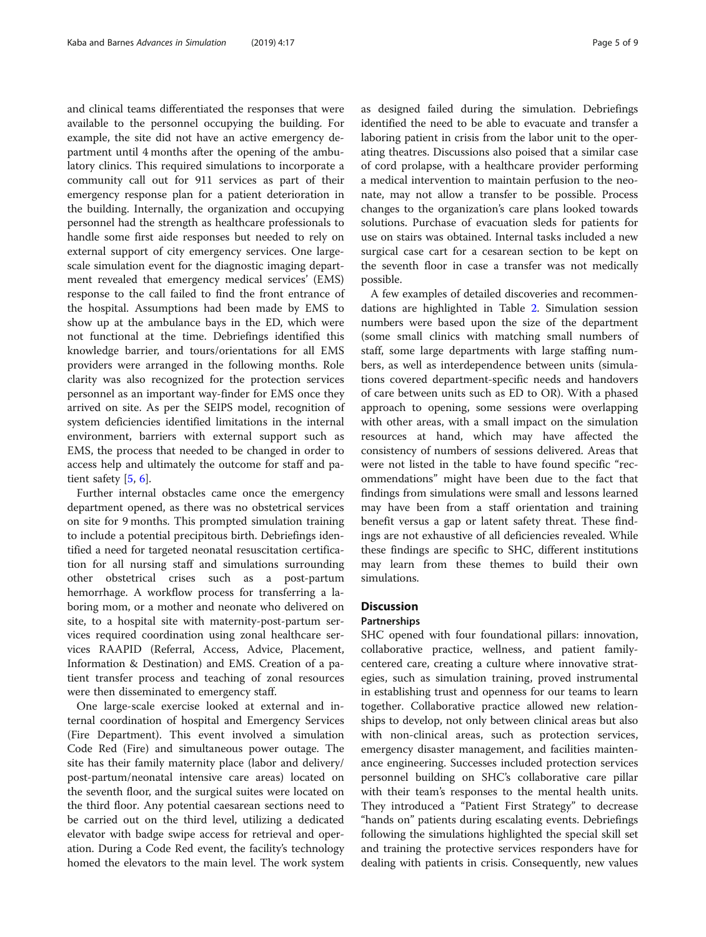and clinical teams differentiated the responses that were available to the personnel occupying the building. For example, the site did not have an active emergency department until 4 months after the opening of the ambulatory clinics. This required simulations to incorporate a community call out for 911 services as part of their emergency response plan for a patient deterioration in the building. Internally, the organization and occupying personnel had the strength as healthcare professionals to handle some first aide responses but needed to rely on external support of city emergency services. One largescale simulation event for the diagnostic imaging department revealed that emergency medical services' (EMS) response to the call failed to find the front entrance of the hospital. Assumptions had been made by EMS to show up at the ambulance bays in the ED, which were not functional at the time. Debriefings identified this knowledge barrier, and tours/orientations for all EMS providers were arranged in the following months. Role clarity was also recognized for the protection services personnel as an important way-finder for EMS once they arrived on site. As per the SEIPS model, recognition of system deficiencies identified limitations in the internal environment, barriers with external support such as EMS, the process that needed to be changed in order to access help and ultimately the outcome for staff and patient safety [[5](#page-7-0), [6](#page-7-0)].

Further internal obstacles came once the emergency department opened, as there was no obstetrical services on site for 9 months. This prompted simulation training to include a potential precipitous birth. Debriefings identified a need for targeted neonatal resuscitation certification for all nursing staff and simulations surrounding other obstetrical crises such as a post-partum hemorrhage. A workflow process for transferring a laboring mom, or a mother and neonate who delivered on site, to a hospital site with maternity-post-partum services required coordination using zonal healthcare services RAAPID (Referral, Access, Advice, Placement, Information & Destination) and EMS. Creation of a patient transfer process and teaching of zonal resources were then disseminated to emergency staff.

One large-scale exercise looked at external and internal coordination of hospital and Emergency Services (Fire Department). This event involved a simulation Code Red (Fire) and simultaneous power outage. The site has their family maternity place (labor and delivery/ post-partum/neonatal intensive care areas) located on the seventh floor, and the surgical suites were located on the third floor. Any potential caesarean sections need to be carried out on the third level, utilizing a dedicated elevator with badge swipe access for retrieval and operation. During a Code Red event, the facility's technology homed the elevators to the main level. The work system as designed failed during the simulation. Debriefings identified the need to be able to evacuate and transfer a laboring patient in crisis from the labor unit to the operating theatres. Discussions also poised that a similar case of cord prolapse, with a healthcare provider performing a medical intervention to maintain perfusion to the neonate, may not allow a transfer to be possible. Process changes to the organization's care plans looked towards solutions. Purchase of evacuation sleds for patients for use on stairs was obtained. Internal tasks included a new surgical case cart for a cesarean section to be kept on the seventh floor in case a transfer was not medically possible.

A few examples of detailed discoveries and recommendations are highlighted in Table [2](#page-5-0). Simulation session numbers were based upon the size of the department (some small clinics with matching small numbers of staff, some large departments with large staffing numbers, as well as interdependence between units (simulations covered department-specific needs and handovers of care between units such as ED to OR). With a phased approach to opening, some sessions were overlapping with other areas, with a small impact on the simulation resources at hand, which may have affected the consistency of numbers of sessions delivered. Areas that were not listed in the table to have found specific "recommendations" might have been due to the fact that findings from simulations were small and lessons learned may have been from a staff orientation and training benefit versus a gap or latent safety threat. These findings are not exhaustive of all deficiencies revealed. While these findings are specific to SHC, different institutions may learn from these themes to build their own simulations.

# **Discussion**

#### Partnerships

SHC opened with four foundational pillars: innovation, collaborative practice, wellness, and patient familycentered care, creating a culture where innovative strategies, such as simulation training, proved instrumental in establishing trust and openness for our teams to learn together. Collaborative practice allowed new relationships to develop, not only between clinical areas but also with non-clinical areas, such as protection services, emergency disaster management, and facilities maintenance engineering. Successes included protection services personnel building on SHC's collaborative care pillar with their team's responses to the mental health units. They introduced a "Patient First Strategy" to decrease "hands on" patients during escalating events. Debriefings following the simulations highlighted the special skill set and training the protective services responders have for dealing with patients in crisis. Consequently, new values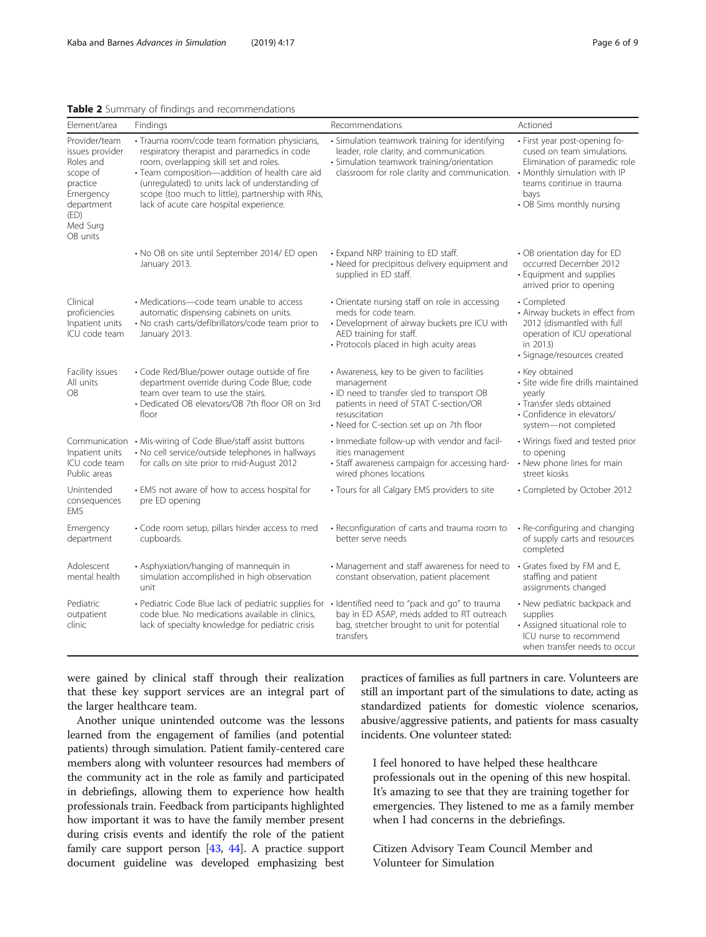## <span id="page-5-0"></span>Table 2 Summary of findings and recommendations

| Element/area                                                                                                                     | Findings                                                                                                                                                                                                                                                                                                                                     | Recommendations                                                                                                                                                                                              | Actioned                                                                                                                                                                                      |
|----------------------------------------------------------------------------------------------------------------------------------|----------------------------------------------------------------------------------------------------------------------------------------------------------------------------------------------------------------------------------------------------------------------------------------------------------------------------------------------|--------------------------------------------------------------------------------------------------------------------------------------------------------------------------------------------------------------|-----------------------------------------------------------------------------------------------------------------------------------------------------------------------------------------------|
| Provider/team<br>issues provider<br>Roles and<br>scope of<br>practice<br>Emergency<br>department<br>(ED)<br>Med Surg<br>OB units | · Trauma room/code team formation physicians,<br>respiratory therapist and paramedics in code<br>room, overlapping skill set and roles.<br>· Team composition-addition of health care aid<br>(unregulated) to units lack of understanding of<br>scope (too much to little), partnership with RNs,<br>lack of acute care hospital experience. | · Simulation teamwork training for identifying<br>leader, role clarity, and communication.<br>· Simulation teamwork training/orientation<br>classroom for role clarity and communication.                    | · First year post-opening fo-<br>cused on team simulations.<br>Elimination of paramedic role<br>• Monthly simulation with IP<br>teams continue in trauma<br>bays<br>• OB Sims monthly nursing |
|                                                                                                                                  | • No OB on site until September 2014/ED open<br>January 2013.                                                                                                                                                                                                                                                                                | • Expand NRP training to ED staff.<br>· Need for precipitous delivery equipment and<br>supplied in ED staff.                                                                                                 | • OB orientation day for ED<br>occurred December 2012<br>• Equipment and supplies<br>arrived prior to opening                                                                                 |
| Clinical<br>proficiencies<br>Inpatient units<br>ICU code team                                                                    | • Medications-code team unable to access<br>automatic dispensing cabinets on units.<br>· No crash carts/defibrillators/code team prior to<br>January 2013.                                                                                                                                                                                   | • Orientate nursing staff on role in accessing<br>meds for code team.<br>• Development of airway buckets pre ICU with<br>AED training for staff.<br>• Protocols placed in high acuity areas                  | • Completed<br>· Airway buckets in effect from<br>2012 (dismantled with full<br>operation of ICU operational<br>in 2013)<br>· Signage/resources created                                       |
| Facility issues<br>All units<br>OB                                                                                               | • Code Red/Blue/power outage outside of fire<br>department override during Code Blue; code<br>team over team to use the stairs.<br>• Dedicated OB elevators/OB 7th floor OR on 3rd<br>floor                                                                                                                                                  | • Awareness, key to be given to facilities<br>management<br>• ID need to transfer sled to transport OB<br>patients in need of STAT C-section/OR<br>resuscitation<br>• Need for C-section set up on 7th floor | • Key obtained<br>· Site wide fire drills maintained<br>yearly<br>• Transfer sleds obtained<br>• Confidence in elevators/<br>system-not completed                                             |
| Communication<br>Inpatient units<br>ICU code team<br>Public areas                                                                | • Mis-wiring of Code Blue/staff assist buttons<br>· No cell service/outside telephones in hallways<br>for calls on site prior to mid-August 2012                                                                                                                                                                                             | · Immediate follow-up with vendor and facil-<br>ities management<br>· Staff awareness campaign for accessing hard-<br>wired phones locations                                                                 | • Wirings fixed and tested prior<br>to opening<br>• New phone lines for main<br>street kiosks                                                                                                 |
| Unintended<br>consequences<br><b>EMS</b>                                                                                         | • EMS not aware of how to access hospital for<br>pre ED opening                                                                                                                                                                                                                                                                              | • Tours for all Calgary EMS providers to site                                                                                                                                                                | • Completed by October 2012                                                                                                                                                                   |
| Emergency<br>department                                                                                                          | · Code room setup, pillars hinder access to med<br>cupboards.                                                                                                                                                                                                                                                                                | • Reconfiguration of carts and trauma room to<br>better serve needs                                                                                                                                          | • Re-configuring and changing<br>of supply carts and resources<br>completed                                                                                                                   |
| Adolescent<br>mental health                                                                                                      | • Asphyxiation/hanging of mannequin in<br>simulation accomplished in high observation<br>unit                                                                                                                                                                                                                                                | • Management and staff awareness for need to<br>constant observation, patient placement                                                                                                                      | • Grates fixed by FM and E,<br>staffing and patient<br>assignments changed                                                                                                                    |
| Pediatric<br>outpatient<br>clinic                                                                                                | • Pediatric Code Blue lack of pediatric supplies for<br>code blue. No medications available in clinics,<br>lack of specialty knowledge for pediatric crisis                                                                                                                                                                                  | · Identified need to "pack and go" to trauma<br>bay in ED ASAP, meds added to RT outreach<br>bag, stretcher brought to unit for potential<br>transfers                                                       | • New pediatric backpack and<br>supplies<br>• Assigned situational role to<br>ICU nurse to recommend<br>when transfer needs to occur                                                          |

were gained by clinical staff through their realization that these key support services are an integral part of the larger healthcare team.

Another unique unintended outcome was the lessons learned from the engagement of families (and potential patients) through simulation. Patient family-centered care members along with volunteer resources had members of the community act in the role as family and participated in debriefings, allowing them to experience how health professionals train. Feedback from participants highlighted how important it was to have the family member present during crisis events and identify the role of the patient family care support person [[43](#page-8-0), [44\]](#page-8-0). A practice support document guideline was developed emphasizing best

practices of families as full partners in care. Volunteers are still an important part of the simulations to date, acting as standardized patients for domestic violence scenarios, abusive/aggressive patients, and patients for mass casualty incidents. One volunteer stated:

I feel honored to have helped these healthcare professionals out in the opening of this new hospital. It's amazing to see that they are training together for emergencies. They listened to me as a family member when I had concerns in the debriefings.

Citizen Advisory Team Council Member and Volunteer for Simulation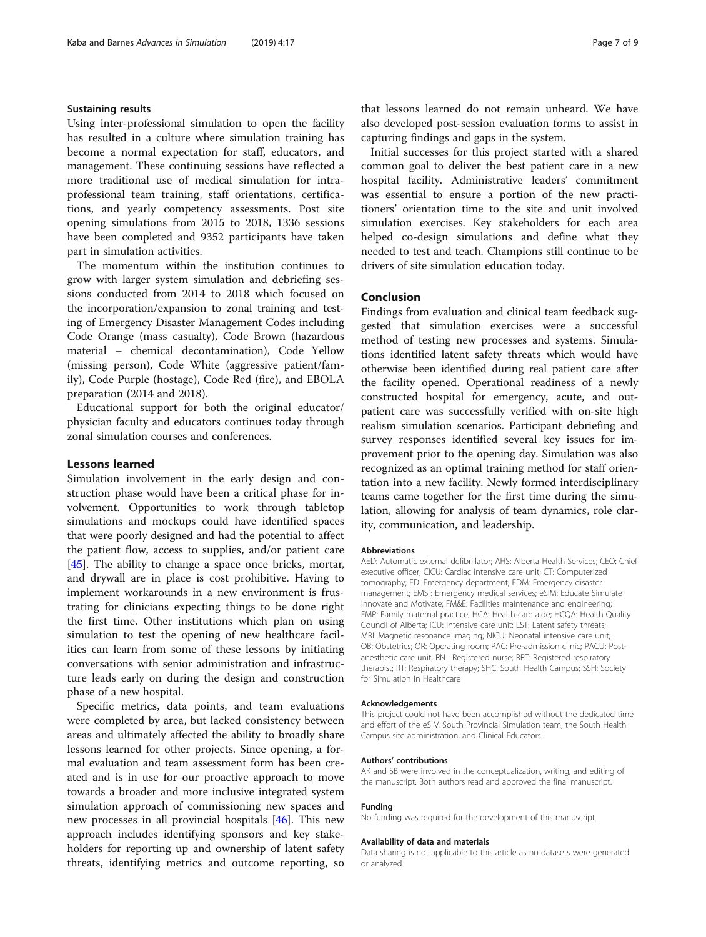# Sustaining results

Using inter-professional simulation to open the facility has resulted in a culture where simulation training has become a normal expectation for staff, educators, and management. These continuing sessions have reflected a more traditional use of medical simulation for intraprofessional team training, staff orientations, certifications, and yearly competency assessments. Post site opening simulations from 2015 to 2018, 1336 sessions have been completed and 9352 participants have taken part in simulation activities.

The momentum within the institution continues to grow with larger system simulation and debriefing sessions conducted from 2014 to 2018 which focused on the incorporation/expansion to zonal training and testing of Emergency Disaster Management Codes including Code Orange (mass casualty), Code Brown (hazardous material – chemical decontamination), Code Yellow (missing person), Code White (aggressive patient/family), Code Purple (hostage), Code Red (fire), and EBOLA preparation (2014 and 2018).

Educational support for both the original educator/ physician faculty and educators continues today through zonal simulation courses and conferences.

# Lessons learned

Simulation involvement in the early design and construction phase would have been a critical phase for involvement. Opportunities to work through tabletop simulations and mockups could have identified spaces that were poorly designed and had the potential to affect the patient flow, access to supplies, and/or patient care [[45\]](#page-8-0). The ability to change a space once bricks, mortar, and drywall are in place is cost prohibitive. Having to implement workarounds in a new environment is frustrating for clinicians expecting things to be done right the first time. Other institutions which plan on using simulation to test the opening of new healthcare facilities can learn from some of these lessons by initiating conversations with senior administration and infrastructure leads early on during the design and construction phase of a new hospital.

Specific metrics, data points, and team evaluations were completed by area, but lacked consistency between areas and ultimately affected the ability to broadly share lessons learned for other projects. Since opening, a formal evaluation and team assessment form has been created and is in use for our proactive approach to move towards a broader and more inclusive integrated system simulation approach of commissioning new spaces and new processes in all provincial hospitals [[46\]](#page-8-0). This new approach includes identifying sponsors and key stakeholders for reporting up and ownership of latent safety threats, identifying metrics and outcome reporting, so

that lessons learned do not remain unheard. We have also developed post-session evaluation forms to assist in capturing findings and gaps in the system.

Initial successes for this project started with a shared common goal to deliver the best patient care in a new hospital facility. Administrative leaders' commitment was essential to ensure a portion of the new practitioners' orientation time to the site and unit involved simulation exercises. Key stakeholders for each area helped co-design simulations and define what they needed to test and teach. Champions still continue to be drivers of site simulation education today.

## Conclusion

Findings from evaluation and clinical team feedback suggested that simulation exercises were a successful method of testing new processes and systems. Simulations identified latent safety threats which would have otherwise been identified during real patient care after the facility opened. Operational readiness of a newly constructed hospital for emergency, acute, and outpatient care was successfully verified with on-site high realism simulation scenarios. Participant debriefing and survey responses identified several key issues for improvement prior to the opening day. Simulation was also recognized as an optimal training method for staff orientation into a new facility. Newly formed interdisciplinary teams came together for the first time during the simulation, allowing for analysis of team dynamics, role clarity, communication, and leadership.

#### Abbreviations

AED: Automatic external defibrillator; AHS: Alberta Health Services; CEO: Chief executive officer; CICU: Cardiac intensive care unit; CT: Computerized tomography; ED: Emergency department; EDM: Emergency disaster management; EMS : Emergency medical services; eSIM: Educate Simulate Innovate and Motivate; FM&E: Facilities maintenance and engineering; FMP: Family maternal practice; HCA: Health care aide; HCQA: Health Quality Council of Alberta; ICU: Intensive care unit; LST: Latent safety threats; MRI: Magnetic resonance imaging; NICU: Neonatal intensive care unit; OB: Obstetrics; OR: Operating room; PAC: Pre-admission clinic; PACU: Postanesthetic care unit: RN : Registered nurse; RRT: Registered respiratory therapist; RT: Respiratory therapy; SHC: South Health Campus; SSH: Society for Simulation in Healthcare

#### Acknowledgements

This project could not have been accomplished without the dedicated time and effort of the eSIM South Provincial Simulation team, the South Health Campus site administration, and Clinical Educators.

#### Authors' contributions

AK and SB were involved in the conceptualization, writing, and editing of the manuscript. Both authors read and approved the final manuscript.

#### Funding

No funding was required for the development of this manuscript.

#### Availability of data and materials

Data sharing is not applicable to this article as no datasets were generated or analyzed.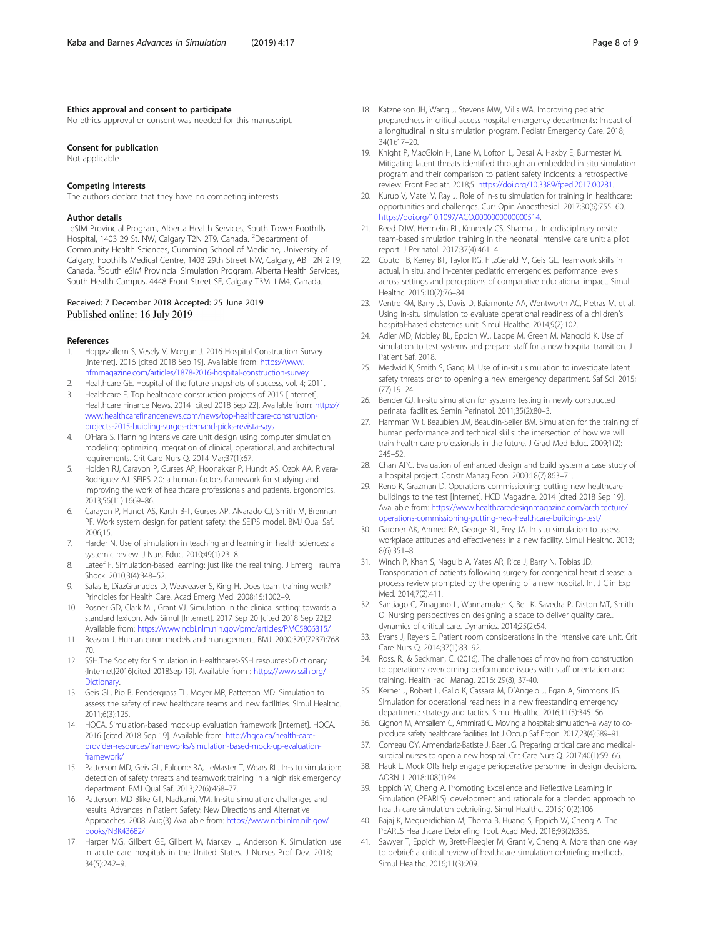#### <span id="page-7-0"></span>Ethics approval and consent to participate

No ethics approval or consent was needed for this manuscript.

#### Consent for publication

Not applicable

#### Competing interests

The authors declare that they have no competing interests.

#### Author details

<sup>1</sup>eSIM Provincial Program, Alberta Health Services, South Tower Foothills Hospital, 1403 29 St. NW, Calgary T2N 2T9, Canada. <sup>2</sup>Department of Community Health Sciences, Cumming School of Medicine, University of Calgary, Foothills Medical Centre, 1403 29th Street NW, Calgary, AB T2N 2 T9, Canada. <sup>3</sup>South eSIM Provincial Simulation Program, Alberta Health Services, South Health Campus, 4448 Front Street SE, Calgary T3M 1 M4, Canada.

#### Received: 7 December 2018 Accepted: 25 June 2019 Published online: 16 July 2019

#### References

- 1. Hoppszallern S, Vesely V, Morgan J. 2016 Hospital Construction Survey [Internet]. 2016 [cited 2018 Sep 19]. Available from: [https://www.](https://www.hfmmagazine.com/articles/1878-2016-hospital-construction-survey) [hfmmagazine.com/articles/1878-2016-hospital-construction-survey](https://www.hfmmagazine.com/articles/1878-2016-hospital-construction-survey)
- 2. Healthcare GE. Hospital of the future snapshots of success, vol. 4; 2011.
- 3. Healthcare F. Top healthcare construction projects of 2015 [Internet]. Healthcare Finance News. 2014 [cited 2018 Sep 22]. Available from: [https://](https://www.healthcarefinancenews.com/news/top-healthcare-construction-projects-2015-buidling-surges-demand-picks-revista-says) [www.healthcarefinancenews.com/news/top-healthcare-construction](https://www.healthcarefinancenews.com/news/top-healthcare-construction-projects-2015-buidling-surges-demand-picks-revista-says)[projects-2015-buidling-surges-demand-picks-revista-says](https://www.healthcarefinancenews.com/news/top-healthcare-construction-projects-2015-buidling-surges-demand-picks-revista-says)
- 4. O'Hara S. Planning intensive care unit design using computer simulation modeling: optimizing integration of clinical, operational, and architectural requirements. Crit Care Nurs Q. 2014 Mar;37(1):67.
- 5. Holden RJ, Carayon P, Gurses AP, Hoonakker P, Hundt AS, Ozok AA, Rivera-Rodriguez AJ. SEIPS 2.0: a human factors framework for studying and improving the work of healthcare professionals and patients. Ergonomics. 2013;56(11):1669–86.
- 6. Carayon P, Hundt AS, Karsh B-T, Gurses AP, Alvarado CJ, Smith M, Brennan PF. Work system design for patient safety: the SEIPS model. BMJ Qual Saf. 2006;15.
- 7. Harder N. Use of simulation in teaching and learning in health sciences: a systemic review. J Nurs Educ. 2010;49(1):23–8.
- 8. Lateef F. Simulation-based learning: just like the real thing. J Emerg Trauma Shock. 2010;3(4):348–52.
- 9. Salas E, DiazGranados D, Weaveaver S, King H. Does team training work? Principles for Health Care. Acad Emerg Med. 2008;15:1002–9.
- 10. Posner GD, Clark ML, Grant VJ. Simulation in the clinical setting: towards a standard lexicon. Adv Simul [Internet]. 2017 Sep 20 [cited 2018 Sep 22];2. Available from: <https://www.ncbi.nlm.nih.gov/pmc/articles/PMC5806315/>
- 11. Reason J. Human error: models and management. BMJ. 2000;320(7237):768– 70.
- 12. SSH.The Society for Simulation in Healthcare>SSH resources>Dictionary {Internet}2016[cited 2018Sep 19]. Available from : [https://www.ssih.org/](https://www.ssih.org/Dictionary) **[Dictionary](https://www.ssih.org/Dictionary)**
- 13. Geis GL, Pio B, Pendergrass TL, Moyer MR, Patterson MD. Simulation to assess the safety of new healthcare teams and new facilities. Simul Healthc. 2011;6(3):125.
- 14. HQCA. Simulation-based mock-up evaluation framework [Internet]. HQCA. 2016 [cited 2018 Sep 19]. Available from: [http://hqca.ca/health-care](http://hqca.ca/health-care-provider-resources/frameworks/simulation-based-mock-up-evaluation-framework/)[provider-resources/frameworks/simulation-based-mock-up-evaluation](http://hqca.ca/health-care-provider-resources/frameworks/simulation-based-mock-up-evaluation-framework/)[framework/](http://hqca.ca/health-care-provider-resources/frameworks/simulation-based-mock-up-evaluation-framework/)
- 15. Patterson MD, Geis GL, Falcone RA, LeMaster T, Wears RL. In-situ simulation: detection of safety threats and teamwork training in a high risk emergency department. BMJ Qual Saf. 2013;22(6):468–77.
- 16. Patterson, MD Blike GT, Nadkarni, VM. In-situ simulation: challenges and results. Advances in Patient Safety: New Directions and Alternative Approaches. 2008: Aug(3) Available from: [https://www.ncbi.nlm.nih.gov/](https://www.ncbi.nlm.nih.gov/books/NBK43682/) [books/NBK43682/](https://www.ncbi.nlm.nih.gov/books/NBK43682/)
- 17. Harper MG, Gilbert GE, Gilbert M, Markey L, Anderson K. Simulation use in acute care hospitals in the United States. J Nurses Prof Dev. 2018; 34(5):242–9.
- 18. Katznelson JH, Wang J, Stevens MW, Mills WA. Improving pediatric
- preparedness in critical access hospital emergency departments: Impact of a longitudinal in situ simulation program. Pediatr Emergency Care. 2018; 34(1):17–20.
- 19. Knight P, MacGloin H, Lane M, Lofton L, Desai A, Haxby E, Burmester M. Mitigating latent threats identified through an embedded in situ simulation program and their comparison to patient safety incidents: a retrospective review. Front Pediatr. 2018;5. [https://doi.org/10.3389/fped.2017.00281.](https://doi.org/10.3389/fped.2017.00281)
- 20. Kurup V, Matei V, Ray J. Role of in-situ simulation for training in healthcare: opportunities and challenges. Curr Opin Anaesthesiol. 2017;30(6):755–60. [https://doi.org/10.1097/ACO.0000000000000514.](https://doi.org/10.1097/ACO.0000000000000514)
- 21. Reed DJW, Hermelin RL, Kennedy CS, Sharma J. Interdisciplinary onsite team-based simulation training in the neonatal intensive care unit: a pilot report. J Perinatol. 2017;37(4):461–4.
- 22. Couto TB, Kerrey BT, Taylor RG, FitzGerald M, Geis GL. Teamwork skills in actual, in situ, and in-center pediatric emergencies: performance levels across settings and perceptions of comparative educational impact. Simul Healthc. 2015;10(2):76–84.
- 23. Ventre KM, Barry JS, Davis D, Baiamonte AA, Wentworth AC, Pietras M, et al. Using in-situ simulation to evaluate operational readiness of a children's hospital-based obstetrics unit. Simul Healthc. 2014;9(2):102.
- 24. Adler MD, Mobley BL, Eppich WJ, Lappe M, Green M, Mangold K. Use of simulation to test systems and prepare staff for a new hospital transition. J Patient Saf. 2018.
- 25. Medwid K, Smith S, Gang M. Use of in-situ simulation to investigate latent safety threats prior to opening a new emergency department. Saf Sci. 2015; (77):19–24.
- 26. Bender GJ. In-situ simulation for systems testing in newly constructed perinatal facilities. Semin Perinatol. 2011;35(2):80–3.
- 27. Hamman WR, Beaubien JM, Beaudin-Seiler BM. Simulation for the training of human performance and technical skills: the intersection of how we will train health care professionals in the future. J Grad Med Educ. 2009;1(2): 245–52.
- 28. Chan APC. Evaluation of enhanced design and build system a case study of a hospital project. Constr Manag Econ. 2000;18(7):863–71.
- 29. Reno K, Grazman D. Operations commissioning: putting new healthcare buildings to the test [Internet]. HCD Magazine. 2014 [cited 2018 Sep 19]. Available from: [https://www.healthcaredesignmagazine.com/architecture/](https://www.healthcaredesignmagazine.com/architecture/operations-commissioning-putting-new-healthcare-buildings-test/) [operations-commissioning-putting-new-healthcare-buildings-test/](https://www.healthcaredesignmagazine.com/architecture/operations-commissioning-putting-new-healthcare-buildings-test/)
- 30. Gardner AK, Ahmed RA, George RL, Frey JA. In situ simulation to assess workplace attitudes and effectiveness in a new facility. Simul Healthc. 2013; 8(6):351–8.
- 31. Winch P, Khan S, Naguib A, Yates AR, Rice J, Barry N, Tobias JD. Transportation of patients following surgery for congenital heart disease: a process review prompted by the opening of a new hospital. Int J Clin Exp Med. 2014;7(2):411.
- 32. Santiago C, Zinagano L, Wannamaker K, Bell K, Savedra P, Diston MT, Smith O. Nursing perspectives on designing a space to deliver quality care... dynamics of critical care. Dynamics. 2014;25(2):54.
- 33. Evans J, Reyers E. Patient room considerations in the intensive care unit. Crit Care Nurs Q. 2014;37(1):83–92.
- 34. Ross, R., & Seckman, C. (2016). The challenges of moving from construction to operations: overcoming performance issues with staff orientation and training. Health Facil Manag. 2016: 29(8), 37-40.
- 35. Kerner J, Robert L, Gallo K, Cassara M, D'Angelo J, Egan A, Simmons JG. Simulation for operational readiness in a new freestanding emergency department: strategy and tactics. Simul Healthc. 2016;11(5):345–56.
- 36. Gignon M, Amsallem C, Ammirati C. Moving a hospital: simulation–a way to coproduce safety healthcare facilities. Int J Occup Saf Ergon. 2017;23(4):589–91.
- 37. Comeau OY, Armendariz-Batiste J, Baer JG. Preparing critical care and medicalsurgical nurses to open a new hospital. Crit Care Nurs Q. 2017;40(1):59–66.
- 38. Hauk L. Mock ORs help engage perioperative personnel in design decisions. AORN J. 2018;108(1):P4.
- 39. Eppich W, Cheng A. Promoting Excellence and Reflective Learning in Simulation (PEARLS): development and rationale for a blended approach to health care simulation debriefing. Simul Healthc. 2015;10(2):106.
- 40. Bajaj K, Meguerdichian M, Thoma B, Huang S, Eppich W, Cheng A. The PEARLS Healthcare Debriefing Tool. Acad Med. 2018;93(2):336.
- 41. Sawyer T, Eppich W, Brett-Fleegler M, Grant V, Cheng A. More than one way to debrief: a critical review of healthcare simulation debriefing methods. Simul Healthc. 2016;11(3):209.